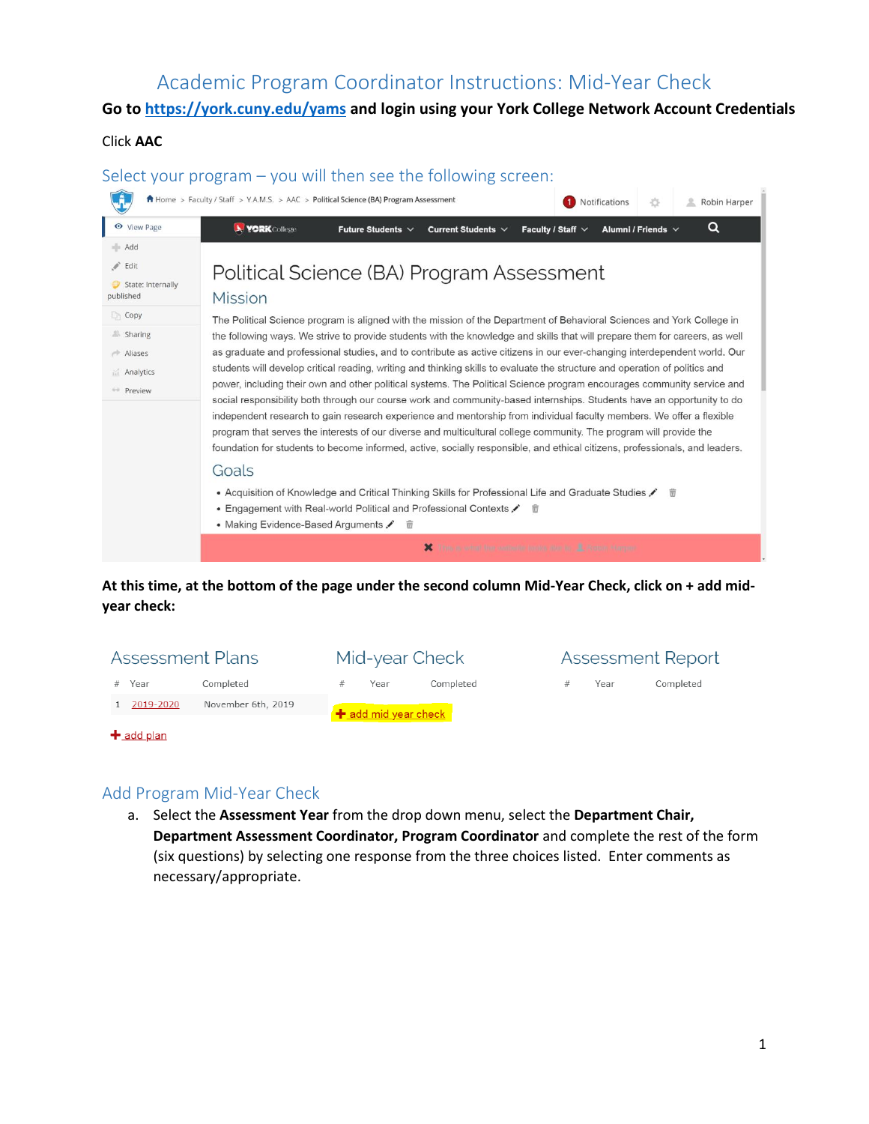# Academic Program Coordinator Instructions: Mid-Year Check

# **Go to<https://york.cuny.edu/yams>and login using your York College Network Account Credentials**

## Click **AAC**



## **At this time, at the bottom of the page under the second column Mid-Year Check, click on + add midyear check:**

| <b>Assessment Plans</b>         | Mid-year Check       | <b>Assessment Report</b> |
|---------------------------------|----------------------|--------------------------|
| Completed<br># Year             | Completed<br>Year    | Completed<br>Year        |
| November 6th, 2019<br>2019-2020 | + add mid year check |                          |
| $\pm$ add plan                  |                      |                          |

# Add Program Mid-Year Check

a. Select the **Assessment Year** from the drop down menu, select the **Department Chair, Department Assessment Coordinator, Program Coordinator** and complete the rest of the form (six questions) by selecting one response from the three choices listed. Enter comments as necessary/appropriate.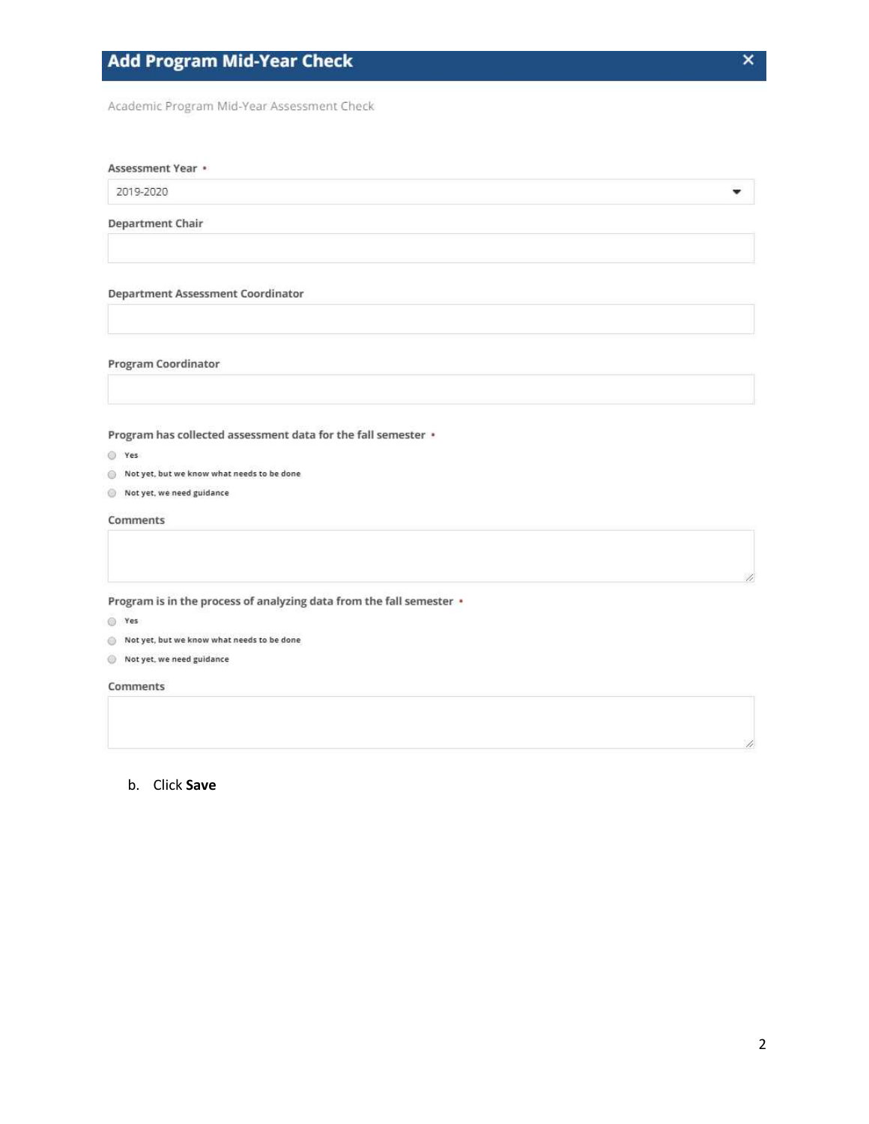Academic Program Mid-Year Assessment Check

#### Assessment Year •

2019-2020

### **Department Chair**

#### **Department Assessment Coordinator**

#### Program Coordinator

Program has collected assessment data for the fall semester .

- ◎ Yes
- Not yet, but we know what needs to be done
- $\circledcirc$  Not yet, we need guidance

#### Comments

Program is in the process of analyzing data from the fall semester .

 $Q$  Yes

- Not yet, but we know what needs to be done
- Not yet, we need guidance

Comments

### b. Click Save

٠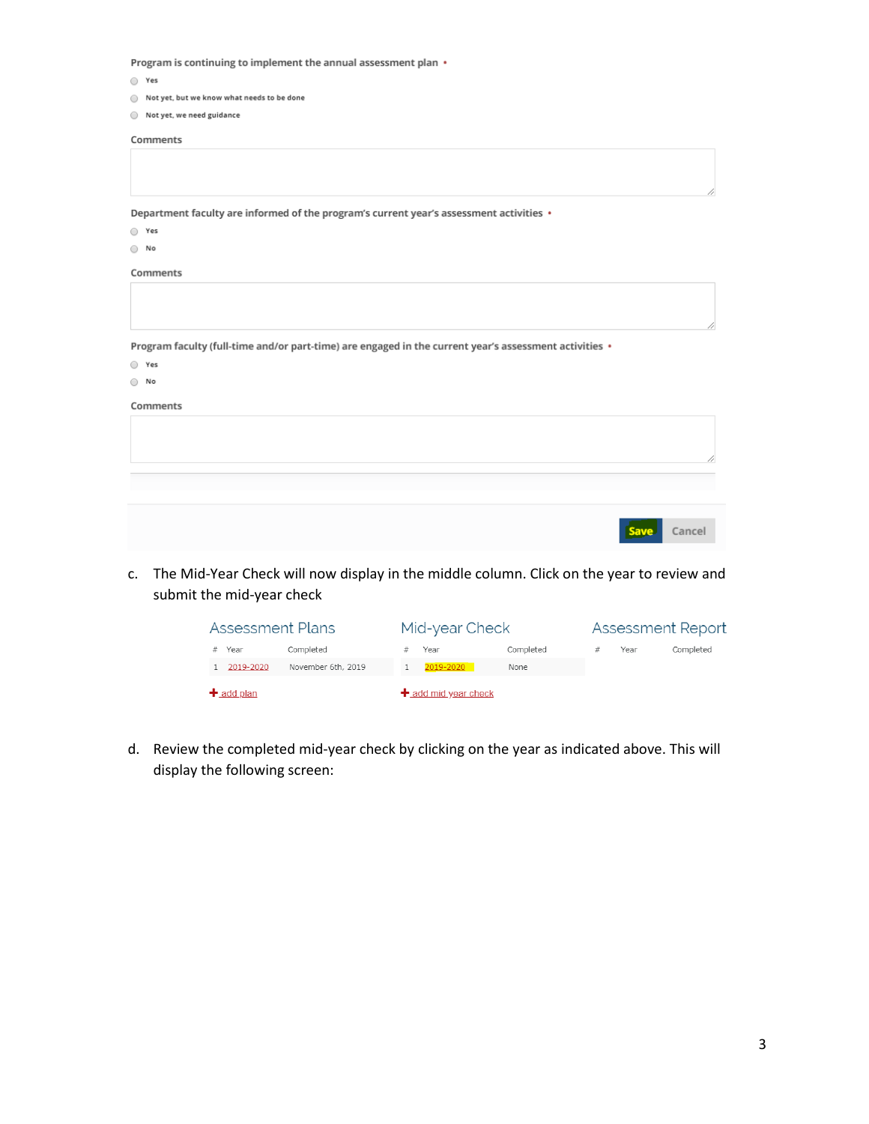Program is continuing to implement the annual assessment plan •

- Yes
- Not yet, but we know what needs to be done
- $\odot$  Not yet, we need guidance

Comments

Department faculty are informed of the program's current year's assessment activities •

- $\circ$  Yes
- $\bigcirc$  No

#### Comments

Program faculty (full-time and/or part-time) are engaged in the current year's assessment activities •

○ Yes

### $\bigcirc$  No

#### Comments

| Save Cancel |
|-------------|

c. The Mid-Year Check will now display in the middle column. Click on the year to review and submit the mid-year check

| Assessment Plans |                    | Mid-year Check |                        | Assessment Report |  |      |           |
|------------------|--------------------|----------------|------------------------|-------------------|--|------|-----------|
| Year             | Completed          |                | Year                   | Completed         |  | Year | Completed |
| 2019-2020        | November 6th, 2019 |                | 2019-2020              | None              |  |      |           |
| $+$ add plan     |                    |                | $+$ add mid year check |                   |  |      |           |

d. Review the completed mid-year check by clicking on the year as indicated above. This will display the following screen: